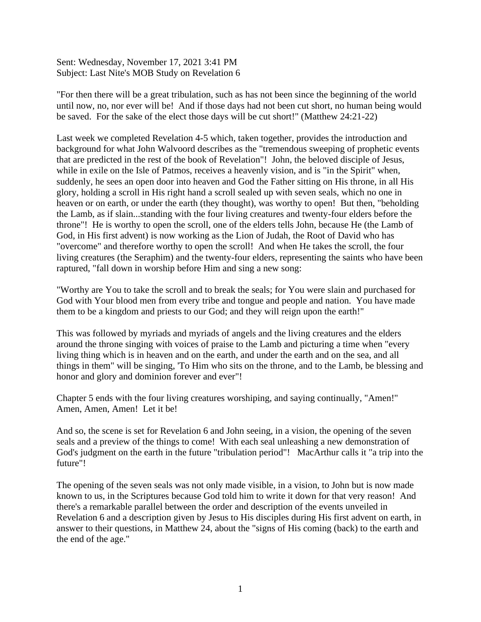Sent: Wednesday, November 17, 2021 3:41 PM Subject: Last Nite's MOB Study on Revelation 6

"For then there will be a great tribulation, such as has not been since the beginning of the world until now, no, nor ever will be! And if those days had not been cut short, no human being would be saved. For the sake of the elect those days will be cut short!" (Matthew 24:21-22)

Last week we completed Revelation 4-5 which, taken together, provides the introduction and background for what John Walvoord describes as the "tremendous sweeping of prophetic events that are predicted in the rest of the book of Revelation"! John, the beloved disciple of Jesus, while in exile on the Isle of Patmos, receives a heavenly vision, and is "in the Spirit" when, suddenly, he sees an open door into heaven and God the Father sitting on His throne, in all His glory, holding a scroll in His right hand a scroll sealed up with seven seals, which no one in heaven or on earth, or under the earth (they thought), was worthy to open! But then, "beholding the Lamb, as if slain...standing with the four living creatures and twenty-four elders before the throne"! He is worthy to open the scroll, one of the elders tells John, because He (the Lamb of God, in His first advent) is now working as the Lion of Judah, the Root of David who has "overcome" and therefore worthy to open the scroll! And when He takes the scroll, the four living creatures (the Seraphim) and the twenty-four elders, representing the saints who have been raptured, "fall down in worship before Him and sing a new song:

"Worthy are You to take the scroll and to break the seals; for You were slain and purchased for God with Your blood men from every tribe and tongue and people and nation. You have made them to be a kingdom and priests to our God; and they will reign upon the earth!"

This was followed by myriads and myriads of angels and the living creatures and the elders around the throne singing with voices of praise to the Lamb and picturing a time when "every living thing which is in heaven and on the earth, and under the earth and on the sea, and all things in them" will be singing, 'To Him who sits on the throne, and to the Lamb, be blessing and honor and glory and dominion forever and ever"!

Chapter 5 ends with the four living creatures worshiping, and saying continually, "Amen!" Amen, Amen, Amen! Let it be!

And so, the scene is set for Revelation 6 and John seeing, in a vision, the opening of the seven seals and a preview of the things to come! With each seal unleashing a new demonstration of God's judgment on the earth in the future "tribulation period"! MacArthur calls it "a trip into the future"!

The opening of the seven seals was not only made visible, in a vision, to John but is now made known to us, in the Scriptures because God told him to write it down for that very reason! And there's a remarkable parallel between the order and description of the events unveiled in Revelation 6 and a description given by Jesus to His disciples during His first advent on earth, in answer to their questions, in Matthew 24, about the "signs of His coming (back) to the earth and the end of the age."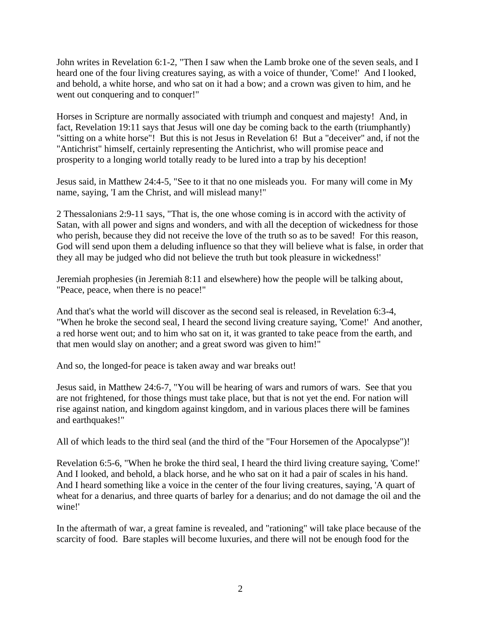John writes in Revelation 6:1-2, "Then I saw when the Lamb broke one of the seven seals, and I heard one of the four living creatures saying, as with a voice of thunder, 'Come!' And I looked, and behold, a white horse, and who sat on it had a bow; and a crown was given to him, and he went out conquering and to conquer!"

Horses in Scripture are normally associated with triumph and conquest and majesty! And, in fact, Revelation 19:11 says that Jesus will one day be coming back to the earth (triumphantly) "sitting on a white horse"! But this is not Jesus in Revelation 6! But a "deceiver" and, if not the "Antichrist" himself, certainly representing the Antichrist, who will promise peace and prosperity to a longing world totally ready to be lured into a trap by his deception!

Jesus said, in Matthew 24:4-5, "See to it that no one misleads you. For many will come in My name, saying, 'I am the Christ, and will mislead many!"

2 Thessalonians 2:9-11 says, "That is, the one whose coming is in accord with the activity of Satan, with all power and signs and wonders, and with all the deception of wickedness for those who perish, because they did not receive the love of the truth so as to be saved! For this reason, God will send upon them a deluding influence so that they will believe what is false, in order that they all may be judged who did not believe the truth but took pleasure in wickedness!'

Jeremiah prophesies (in Jeremiah 8:11 and elsewhere) how the people will be talking about, "Peace, peace, when there is no peace!"

And that's what the world will discover as the second seal is released, in Revelation 6:3-4, "When he broke the second seal, I heard the second living creature saying, 'Come!' And another, a red horse went out; and to him who sat on it, it was granted to take peace from the earth, and that men would slay on another; and a great sword was given to him!"

And so, the longed-for peace is taken away and war breaks out!

Jesus said, in Matthew 24:6-7, "You will be hearing of wars and rumors of wars. See that you are not frightened, for those things must take place, but that is not yet the end. For nation will rise against nation, and kingdom against kingdom, and in various places there will be famines and earthquakes!"

All of which leads to the third seal (and the third of the "Four Horsemen of the Apocalypse")!

Revelation 6:5-6, "When he broke the third seal, I heard the third living creature saying, 'Come!' And I looked, and behold, a black horse, and he who sat on it had a pair of scales in his hand. And I heard something like a voice in the center of the four living creatures, saying, 'A quart of wheat for a denarius, and three quarts of barley for a denarius; and do not damage the oil and the wine!'

In the aftermath of war, a great famine is revealed, and "rationing" will take place because of the scarcity of food. Bare staples will become luxuries, and there will not be enough food for the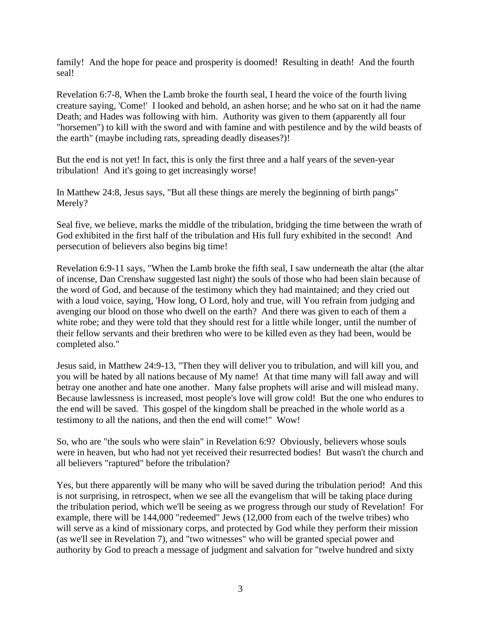family! And the hope for peace and prosperity is doomed! Resulting in death! And the fourth seal!

Revelation 6:7-8, When the Lamb broke the fourth seal, I heard the voice of the fourth living creature saying, 'Come!' I looked and behold, an ashen horse; and he who sat on it had the name Death; and Hades was following with him. Authority was given to them (apparently all four "horsemen") to kill with the sword and with famine and with pestilence and by the wild beasts of the earth" (maybe including rats, spreading deadly diseases?)!

But the end is not yet! In fact, this is only the first three and a half years of the seven-year tribulation! And it's going to get increasingly worse!

In Matthew 24:8, Jesus says, "But all these things are merely the beginning of birth pangs" Merely?

Seal five, we believe, marks the middle of the tribulation, bridging the time between the wrath of God exhibited in the first half of the tribulation and His full fury exhibited in the second! And persecution of believers also begins big time!

Revelation 6:9-11 says, "When the Lamb broke the fifth seal, I saw underneath the altar (the altar of incense, Dan Crenshaw suggested last night) the souls of those who had been slain because of the word of God, and because of the testimony which they had maintained; and they cried out with a loud voice, saying, 'How long, O Lord, holy and true, will You refrain from judging and avenging our blood on those who dwell on the earth? And there was given to each of them a white robe; and they were told that they should rest for a little while longer, until the number of their fellow servants and their brethren who were to be killed even as they had been, would be completed also."

Jesus said, in Matthew 24:9-13, "Then they will deliver you to tribulation, and will kill you, and you will be hated by all nations because of My name! At that time many will fall away and will betray one another and hate one another. Many false prophets will arise and will mislead many. Because lawlessness is increased, most people's love will grow cold! But the one who endures to the end will be saved. This gospel of the kingdom shall be preached in the whole world as a testimony to all the nations, and then the end will come!" Wow!

So, who are "the souls who were slain" in Revelation 6:9? Obviously, believers whose souls were in heaven, but who had not yet received their resurrected bodies! But wasn't the church and all believers "raptured" before the tribulation?

Yes, but there apparently will be many who will be saved during the tribulation period! And this is not surprising, in retrospect, when we see all the evangelism that will be taking place during the tribulation period, which we'll be seeing as we progress through our study of Revelation! For example, there will be 144,000 "redeemed" Jews (12,000 from each of the twelve tribes) who will serve as a kind of missionary corps, and protected by God while they perform their mission (as we'll see in Revelation 7), and "two witnesses" who will be granted special power and authority by God to preach a message of judgment and salvation for "twelve hundred and sixty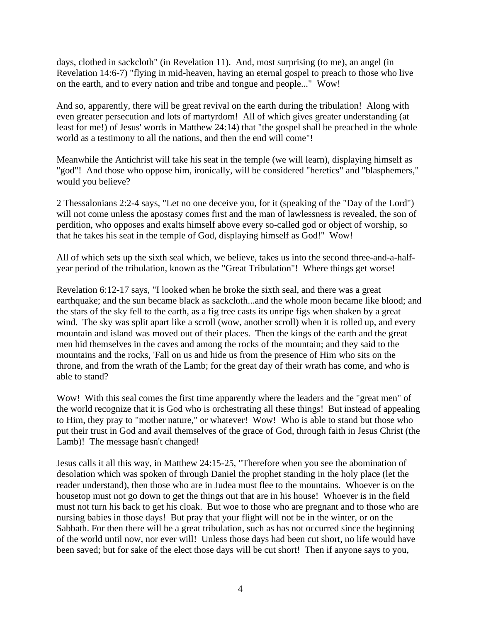days, clothed in sackcloth" (in Revelation 11). And, most surprising (to me), an angel (in Revelation 14:6-7) "flying in mid-heaven, having an eternal gospel to preach to those who live on the earth, and to every nation and tribe and tongue and people..." Wow!

And so, apparently, there will be great revival on the earth during the tribulation! Along with even greater persecution and lots of martyrdom! All of which gives greater understanding (at least for me!) of Jesus' words in Matthew 24:14) that "the gospel shall be preached in the whole world as a testimony to all the nations, and then the end will come"!

Meanwhile the Antichrist will take his seat in the temple (we will learn), displaying himself as "god"! And those who oppose him, ironically, will be considered "heretics" and "blasphemers," would you believe?

2 Thessalonians 2:2-4 says, "Let no one deceive you, for it (speaking of the "Day of the Lord") will not come unless the apostasy comes first and the man of lawlessness is revealed, the son of perdition, who opposes and exalts himself above every so-called god or object of worship, so that he takes his seat in the temple of God, displaying himself as God!" Wow!

All of which sets up the sixth seal which, we believe, takes us into the second three-and-a-halfyear period of the tribulation, known as the "Great Tribulation"! Where things get worse!

Revelation 6:12-17 says, "I looked when he broke the sixth seal, and there was a great earthquake; and the sun became black as sackcloth...and the whole moon became like blood; and the stars of the sky fell to the earth, as a fig tree casts its unripe figs when shaken by a great wind. The sky was split apart like a scroll (wow, another scroll) when it is rolled up, and every mountain and island was moved out of their places. Then the kings of the earth and the great men hid themselves in the caves and among the rocks of the mountain; and they said to the mountains and the rocks, 'Fall on us and hide us from the presence of Him who sits on the throne, and from the wrath of the Lamb; for the great day of their wrath has come, and who is able to stand?

Wow! With this seal comes the first time apparently where the leaders and the "great men" of the world recognize that it is God who is orchestrating all these things! But instead of appealing to Him, they pray to "mother nature," or whatever! Wow! Who is able to stand but those who put their trust in God and avail themselves of the grace of God, through faith in Jesus Christ (the Lamb)! The message hasn't changed!

Jesus calls it all this way, in Matthew 24:15-25, "Therefore when you see the abomination of desolation which was spoken of through Daniel the prophet standing in the holy place (let the reader understand), then those who are in Judea must flee to the mountains. Whoever is on the housetop must not go down to get the things out that are in his house! Whoever is in the field must not turn his back to get his cloak. But woe to those who are pregnant and to those who are nursing babies in those days! But pray that your flight will not be in the winter, or on the Sabbath. For then there will be a great tribulation, such as has not occurred since the beginning of the world until now, nor ever will! Unless those days had been cut short, no life would have been saved; but for sake of the elect those days will be cut short! Then if anyone says to you,